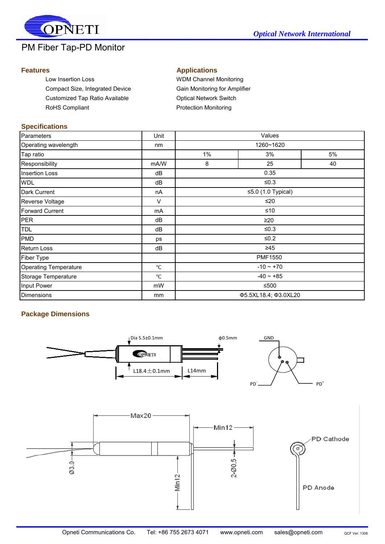

# PM Fiber Tap-PD Monitor

Low Insertion Loss **WDM Channel Monitoring** Compact Size, Integrated Device Gain Monitoring for Amplifier Customized Tap Ratio Available **Customized Tap Ratio Available Optical Network Switch** RoHS Compliant **Protection Monitoring** 

### **Features Applications**

#### **Specifications**

| Parameters                   | Unit            | Values               |                          |    |  |
|------------------------------|-----------------|----------------------|--------------------------|----|--|
| Operating wavelength         | nm              |                      | 1260~1620                |    |  |
| Tap ratio                    |                 | $1\%$                | 3%                       | 5% |  |
| Responsibility               | mA/W            | 8                    | 25                       | 40 |  |
| <b>Insertion Loss</b>        | dB              |                      | 0.35                     |    |  |
| <b>WDL</b>                   | dB              |                      | ≤ $0.3$                  |    |  |
| Dark Current                 | nA              |                      | $\leq$ 5.0 (1.0 Typical) |    |  |
| Reverse Voltage              | $\vee$          |                      | ≤20                      |    |  |
| <b>Forward Current</b>       | mA              |                      | ≤10                      |    |  |
| <b>PER</b>                   | dB              | $\geq 20$            |                          |    |  |
| <b>TDL</b>                   | dB              |                      | ≤ $0.3$                  |    |  |
| <b>PMD</b>                   | ps              |                      | ≤ $0.2$                  |    |  |
| <b>Return Loss</b>           | dB              |                      | $\geq 45$                |    |  |
| Fiber Type                   |                 |                      | <b>PMF1550</b>           |    |  |
| <b>Operating Temperature</b> | $^{\circ}C$     | $-10 - +70$          |                          |    |  |
| Storage Temperature          | $\rm ^{\circ}C$ | $-40 - +85$          |                          |    |  |
| Input Power                  | mW              | ≤500                 |                          |    |  |
| <b>Dimensions</b>            | mm              | Φ5.5XL18.4; Φ3.0XL20 |                          |    |  |

# **Package Dimensions**